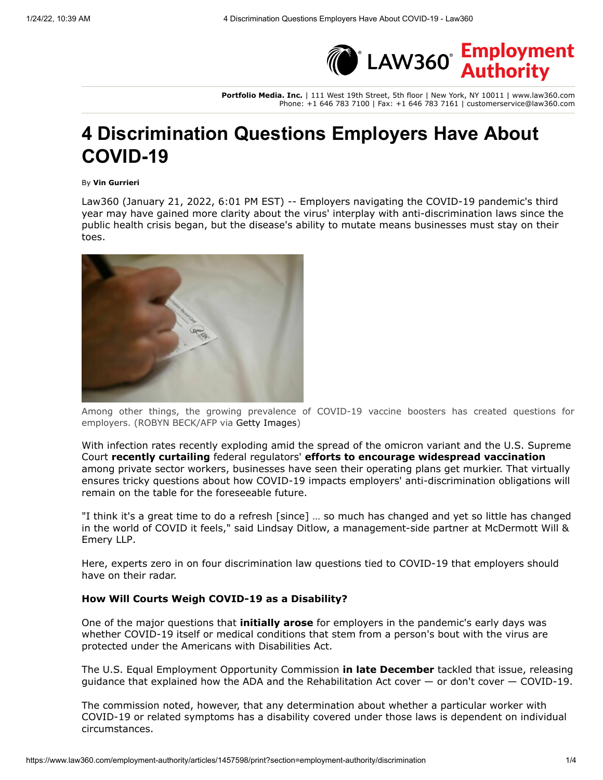

**Portfolio Media. Inc.** | 111 West 19th Street, 5th floor | New York, NY 10011 | www.law360.com Phone: +1 646 783 7100 | Fax: +1 646 783 7161 | customerservice@law360.com

# **4 Discrimination Questions Employers Have About COVID-19**

#### By **Vin Gurrieri**

Law360 (January 21, 2022, 6:01 PM EST) -- Employers navigating the COVID-19 pandemic's third year may have gained more clarity about the virus' interplay with anti-discrimination laws since the public health crisis began, but the disease's ability to mutate means businesses must stay on their toes.



Among other things, the growing prevalence of COVID-19 vaccine boosters has created questions for employers. (ROBYN BECK/AFP via [Getty Images](https://www.law360.com/companies/getty-images-inc))

[With infection rates recently exploding amid the spread of the omicron variant and the U.S. Supreme](https://www.law360.com/agencies/u-s-supreme-court) Court **[recently curtailing](https://www.law360.com/articles/1453679)** federal regulators' **[efforts to encourage widespread vaccination](https://www.law360.com/employment-authority/articles/1430567)** among private sector workers, businesses have seen their operating plans get murkier. That virtually ensures tricky questions about how COVID-19 impacts employers' anti-discrimination obligations will remain on the table for the foreseeable future.

"I think it's a great time to do a refresh [since] … so much has changed and yet so little has changed [in the world of COVID it feels," said Lindsay Ditlow, a management-side partner at McDermott Will &](https://www.law360.com/firms/mcdermott-will) Emery LLP.

Here, experts zero in on four discrimination law questions tied to COVID-19 that employers should have on their radar.

### **How Will Courts Weigh COVID-19 as a Disability?**

One of the major questions that **[initially arose](https://www.law360.com/employment-authority/articles/1360732)** for employers in the pandemic's early days was whether COVID-19 itself or medical conditions that stem from a person's bout with the virus are protected under the Americans with Disabilities Act.

The [U.S. Equal Employment Opportunity Commission](https://www.law360.com/agencies/equal-employment-opportunity-commission) **[in late December](https://www.law360.com/employment-authority/articles/1448589)** tackled that issue, releasing guidance that explained how the ADA and the Rehabilitation Act cover  $-$  or don't cover  $-$  COVID-19.

The commission noted, however, that any determination about whether a particular worker with COVID-19 or related symptoms has a disability covered under those laws is dependent on individual circumstances.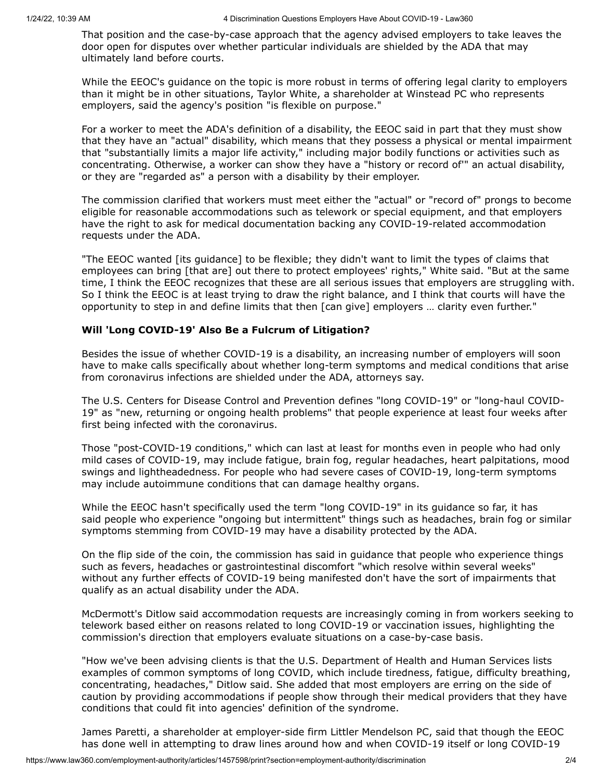That position and the case-by-case approach that the agency advised employers to take leaves the door open for disputes over whether particular individuals are shielded by the ADA that may ultimately land before courts.

While the EEOC's guidance on the topic is more robust in terms of offering legal clarity to employers than it might be in other situations, Taylor White, a shareholder at [Winstead PC](https://www.law360.com/firms/winstead-pc) who represents employers, said the agency's position "is flexible on purpose."

For a worker to meet the ADA's definition of a disability, the EEOC said in part that they must show that they have an "actual" disability, which means that they possess a physical or mental impairment that "substantially limits a major life activity," including major bodily functions or activities such as concentrating. Otherwise, a worker can show they have a "history or record of'" an actual disability, or they are "regarded as" a person with a disability by their employer.

The commission clarified that workers must meet either the "actual" or "record of" prongs to become eligible for reasonable accommodations such as telework or special equipment, and that employers have the right to ask for medical documentation backing any COVID-19-related accommodation requests under the ADA.

"The EEOC wanted [its guidance] to be flexible; they didn't want to limit the types of claims that employees can bring [that are] out there to protect employees' rights," White said. "But at the same time, I think the EEOC recognizes that these are all serious issues that employers are struggling with. So I think the EEOC is at least trying to draw the right balance, and I think that courts will have the opportunity to step in and define limits that then [can give] employers … clarity even further."

### **Will 'Long COVID***-***19' Also Be a Fulcrum of Litigation?**

Besides the issue of whether COVID-19 is a disability, an increasing number of employers will soon have to make calls specifically about whether long-term symptoms and medical conditions that arise from coronavirus infections are shielded under the ADA, attorneys say.

The U.S. [Centers for Disease Control and Prevention](https://www.law360.com/agencies/centers-for-disease-control-and-prevention) defines "long COVID-19" or "long-haul COVID-19" as "new, returning or ongoing health problems" that people experience at least four weeks after first being infected with the coronavirus.

Those "post-COVID-19 conditions," which can last at least for months even in people who had only mild cases of COVID-19, may include fatigue, brain fog, regular headaches, heart palpitations, mood swings and lightheadedness. For people who had severe cases of COVID-19, long-term symptoms may include autoimmune conditions that can damage healthy organs.

While the EEOC hasn't specifically used the term "long COVID-19" in its guidance so far, it has said people who experience "ongoing but intermittent" things such as headaches, brain fog or similar symptoms stemming from COVID-19 may have a disability protected by the ADA.

On the flip side of the coin, the commission has said in guidance that people who experience things such as fevers, headaches or gastrointestinal discomfort "which resolve within several weeks" without any further effects of COVID-19 being manifested don't have the sort of impairments that qualify as an actual disability under the ADA.

McDermott's Ditlow said accommodation requests are increasingly coming in from workers seeking to telework based either on reasons related to long COVID-19 or vaccination issues, highlighting the commission's direction that employers evaluate situations on a case-by-case basis.

"How we've been advising clients is that the [U.S. Department of Health and Human Services](https://www.law360.com/agencies/u-s-department-of-health-and-human-services) lists examples of common symptoms of long COVID, which include tiredness, fatigue, difficulty breathing, concentrating, headaches," Ditlow said. She added that most employers are erring on the side of caution by providing accommodations if people show through their medical providers that they have conditions that could fit into agencies' definition of the syndrome.

James Paretti, a shareholder at employer-side firm [Littler Mendelson PC,](https://www.law360.com/firms/littler-mendelson) said that though the EEOC has done well in attempting to draw lines around how and when COVID-19 itself or long COVID-19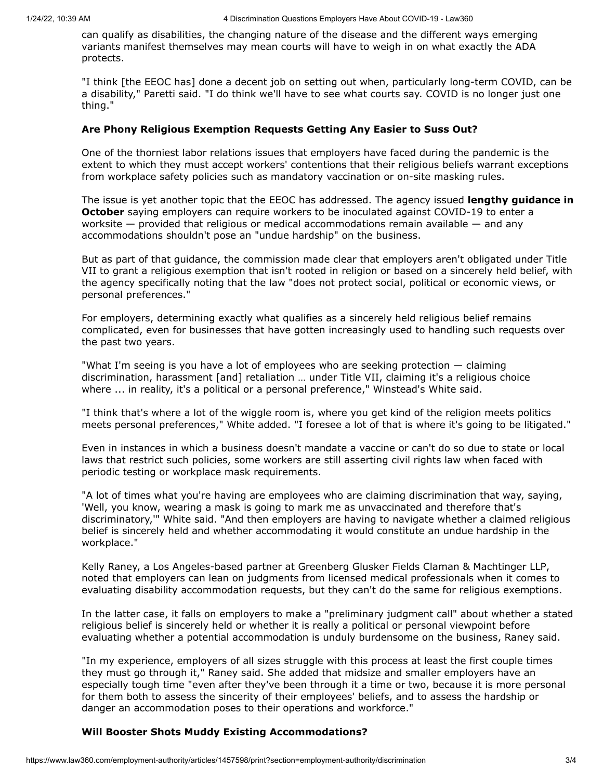can qualify as disabilities, the changing nature of the disease and the different ways emerging variants manifest themselves may mean courts will have to weigh in on what exactly the ADA protects.

"I think [the EEOC has] done a decent job on setting out when, particularly long-term COVID, can be a disability," Paretti said. "I do think we'll have to see what courts say. COVID is no longer just one thing."

#### **Are Phony Religious Exemption Requests Getting Any Easier to Suss Out?**

One of the thorniest labor relations issues that employers have faced during the pandemic is the extent to which they must accept workers' contentions that their religious beliefs warrant exceptions from workplace safety policies such as mandatory vaccination or on-site masking rules.

The issue is yet another topic that the EEOC has addressed. The agency issued **lengthy guidance in October** [saying employers can require workers to be inoculated against COVID-19 to enter a](https://www.law360.com/articles/1434343) worksite  $-$  provided that religious or medical accommodations remain available  $-$  and any accommodations shouldn't pose an "undue hardship" on the business.

But as part of that guidance, the commission made clear that employers aren't obligated under Title VII to grant a religious exemption that isn't rooted in religion or based on a sincerely held belief, with the agency specifically noting that the law "does not protect social, political or economic views, or personal preferences."

For employers, determining exactly what qualifies as a sincerely held religious belief remains complicated, even for businesses that have gotten increasingly used to handling such requests over the past two years.

"What I'm seeing is you have a lot of employees who are seeking protection — claiming discrimination, harassment [and] retaliation … under Title VII, claiming it's a religious choice where ... in reality, it's a political or a personal preference," Winstead's White said.

"I think that's where a lot of the wiggle room is, where you get kind of the religion meets politics meets personal preferences," White added. "I foresee a lot of that is where it's going to be litigated."

Even in instances in which a business doesn't mandate a vaccine or can't do so due to state or local laws that restrict such policies, some workers are still asserting civil rights law when faced with periodic testing or workplace mask requirements.

"A lot of times what you're having are employees who are claiming discrimination that way, saying, 'Well, you know, wearing a mask is going to mark me as unvaccinated and therefore that's discriminatory,'" White said. "And then employers are having to navigate whether a claimed religious belief is sincerely held and whether accommodating it would constitute an undue hardship in the workplace."

Kelly Raney, a Los Angeles-based partner at [Greenberg Glusker Fields Claman & Machtinger LLP,](https://www.law360.com/firms/greenberg-glusker) noted that employers can lean on judgments from licensed medical professionals when it comes to evaluating disability accommodation requests, but they can't do the same for religious exemptions.

In the latter case, it falls on employers to make a "preliminary judgment call" about whether a stated religious belief is sincerely held or whether it is really a political or personal viewpoint before evaluating whether a potential accommodation is unduly burdensome on the business, Raney said.

"In my experience, employers of all sizes struggle with this process at least the first couple times they must go through it," Raney said. She added that midsize and smaller employers have an especially tough time "even after they've been through it a time or two, because it is more personal for them both to assess the sincerity of their employees' beliefs, and to assess the hardship or danger an accommodation poses to their operations and workforce."

## **Will Booster Shots Muddy Existing Accommodations?**